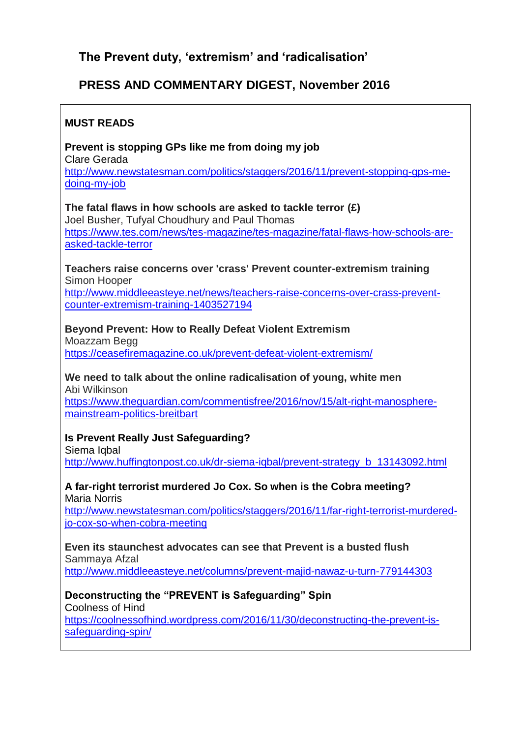# **The Prevent duty, 'extremism' and 'radicalisation'**

# **PRESS AND COMMENTARY DIGEST, November 2016**

### **MUST READS**

**Prevent is stopping GPs like me from doing my job** Clare Gerada [http://www.newstatesman.com/politics/staggers/2016/11/prevent-stopping-gps-me](http://www.newstatesman.com/politics/staggers/2016/11/prevent-stopping-gps-me-doing-my-job)[doing-my-job](http://www.newstatesman.com/politics/staggers/2016/11/prevent-stopping-gps-me-doing-my-job)

**The fatal flaws in how schools are asked to tackle terror (£)** Joel Busher, Tufyal Choudhury and Paul Thomas [https://www.tes.com/news/tes-magazine/tes-magazine/fatal-flaws-how-schools-are](https://www.tes.com/news/tes-magazine/tes-magazine/fatal-flaws-how-schools-are-asked-tackle-terror)[asked-tackle-terror](https://www.tes.com/news/tes-magazine/tes-magazine/fatal-flaws-how-schools-are-asked-tackle-terror)

**Teachers raise concerns over 'crass' Prevent counter-extremism training** Simon Hooper

[http://www.middleeasteye.net/news/teachers-raise-concerns-over-crass-prevent](http://www.middleeasteye.net/news/teachers-raise-concerns-over-crass-prevent-counter-extremism-training-1403527194)[counter-extremism-training-1403527194](http://www.middleeasteye.net/news/teachers-raise-concerns-over-crass-prevent-counter-extremism-training-1403527194)

#### **Beyond Prevent: How to Really Defeat Violent Extremism**

Moazzam Begg <https://ceasefiremagazine.co.uk/prevent-defeat-violent-extremism/>

#### **We need to talk about the online radicalisation of young, white men** Abi Wilkinson

[https://www.theguardian.com/commentisfree/2016/nov/15/alt-right-manosphere](https://www.theguardian.com/commentisfree/2016/nov/15/alt-right-manosphere-mainstream-politics-breitbart)[mainstream-politics-breitbart](https://www.theguardian.com/commentisfree/2016/nov/15/alt-right-manosphere-mainstream-politics-breitbart)

### **Is Prevent Really Just Safeguarding?**

Siema Igbal [http://www.huffingtonpost.co.uk/dr-siema-iqbal/prevent-strategy\\_b\\_13143092.html](http://www.huffingtonpost.co.uk/dr-siema-iqbal/prevent-strategy_b_13143092.html)

#### **A far-right terrorist murdered Jo Cox. So when is the Cobra meeting?** Maria Norris

[http://www.newstatesman.com/politics/staggers/2016/11/far-right-terrorist-murdered](http://www.newstatesman.com/politics/staggers/2016/11/far-right-terrorist-murdered-jo-cox-so-when-cobra-meeting)[jo-cox-so-when-cobra-meeting](http://www.newstatesman.com/politics/staggers/2016/11/far-right-terrorist-murdered-jo-cox-so-when-cobra-meeting)

**Even its staunchest advocates can see that Prevent is a busted flush** Sammaya Afzal

<http://www.middleeasteye.net/columns/prevent-majid-nawaz-u-turn-779144303>

### **Deconstructing the "PREVENT is Safeguarding" Spin**

Coolness of Hind

[https://coolnessofhind.wordpress.com/2016/11/30/deconstructing-the-prevent-is](https://coolnessofhind.wordpress.com/2016/11/30/deconstructing-the-prevent-is-safeguarding-spin/)[safeguarding-spin/](https://coolnessofhind.wordpress.com/2016/11/30/deconstructing-the-prevent-is-safeguarding-spin/)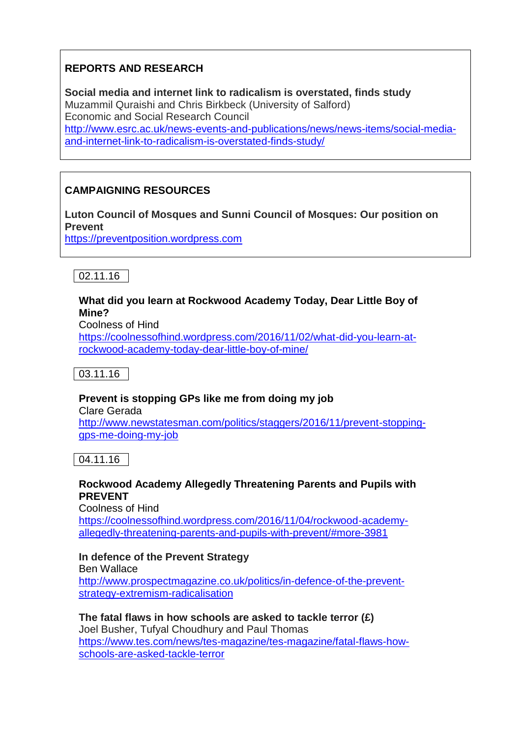# **REPORTS AND RESEARCH**

**Social media and internet link to radicalism is overstated, finds study** Muzammil Quraishi and Chris Birkbeck (University of Salford) Economic and Social Research Council [http://www.esrc.ac.uk/news-events-and-publications/news/news-items/social-media](http://www.esrc.ac.uk/news-events-and-publications/news/news-items/social-media-and-internet-link-to-radicalism-is-overstated-finds-study/)[and-internet-link-to-radicalism-is-overstated-finds-study/](http://www.esrc.ac.uk/news-events-and-publications/news/news-items/social-media-and-internet-link-to-radicalism-is-overstated-finds-study/)

# **CAMPAIGNING RESOURCES**

**Luton Council of Mosques and Sunni Council of Mosques: Our position on Prevent**

[https://preventposition.wordpress.com](https://preventposition.wordpress.com/) 



### **What did you learn at Rockwood Academy Today, Dear Little Boy of Mine?**

Coolness of Hind

[https://coolnessofhind.wordpress.com/2016/11/02/what-did-you-learn-at](https://coolnessofhind.wordpress.com/2016/11/02/what-did-you-learn-at-rockwood-academy-today-dear-little-boy-of-mine/)[rockwood-academy-today-dear-little-boy-of-mine/](https://coolnessofhind.wordpress.com/2016/11/02/what-did-you-learn-at-rockwood-academy-today-dear-little-boy-of-mine/)



# **Prevent is stopping GPs like me from doing my job**

Clare Gerada [http://www.newstatesman.com/politics/staggers/2016/11/prevent-stopping](http://www.newstatesman.com/politics/staggers/2016/11/prevent-stopping-gps-me-doing-my-job)[gps-me-doing-my-job](http://www.newstatesman.com/politics/staggers/2016/11/prevent-stopping-gps-me-doing-my-job)

04.11.16

# **Rockwood Academy Allegedly Threatening Parents and Pupils with PREVENT**

Coolness of Hind

[https://coolnessofhind.wordpress.com/2016/11/04/rockwood-academy](https://coolnessofhind.wordpress.com/2016/11/04/rockwood-academy-allegedly-threatening-parents-and-pupils-with-prevent/#more-3981)[allegedly-threatening-parents-and-pupils-with-prevent/#more-3981](https://coolnessofhind.wordpress.com/2016/11/04/rockwood-academy-allegedly-threatening-parents-and-pupils-with-prevent/#more-3981)

# **In defence of the Prevent Strategy**

Ben Wallace [http://www.prospectmagazine.co.uk/politics/in-defence-of-the-prevent](http://www.prospectmagazine.co.uk/politics/in-defence-of-the-prevent-strategy-extremism-radicalisation)[strategy-extremism-radicalisation](http://www.prospectmagazine.co.uk/politics/in-defence-of-the-prevent-strategy-extremism-radicalisation)

#### **The fatal flaws in how schools are asked to tackle terror (£)** Joel Busher, Tufyal Choudhury and Paul Thomas [https://www.tes.com/news/tes-magazine/tes-magazine/fatal-flaws-how](https://www.tes.com/news/tes-magazine/tes-magazine/fatal-flaws-how-schools-are-asked-tackle-terror)[schools-are-asked-tackle-terror](https://www.tes.com/news/tes-magazine/tes-magazine/fatal-flaws-how-schools-are-asked-tackle-terror)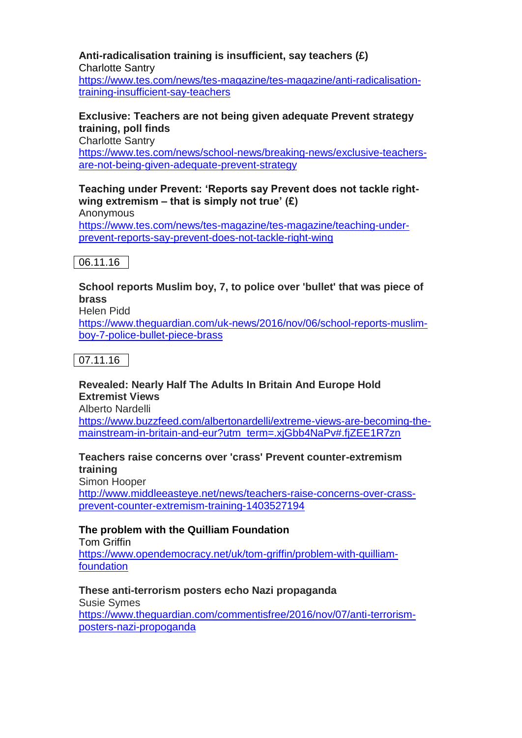# **Anti-radicalisation training is insufficient, say teachers (£)**

Charlotte Santry

[https://www.tes.com/news/tes-magazine/tes-magazine/anti-radicalisation](https://www.tes.com/news/tes-magazine/tes-magazine/anti-radicalisation-training-insufficient-say-teachers)[training-insufficient-say-teachers](https://www.tes.com/news/tes-magazine/tes-magazine/anti-radicalisation-training-insufficient-say-teachers)

# **Exclusive: Teachers are not being given adequate Prevent strategy training, poll finds**

Charlotte Santry

[https://www.tes.com/news/school-news/breaking-news/exclusive-teachers](https://www.tes.com/news/school-news/breaking-news/exclusive-teachers-are-not-being-given-adequate-prevent-strategy)[are-not-being-given-adequate-prevent-strategy](https://www.tes.com/news/school-news/breaking-news/exclusive-teachers-are-not-being-given-adequate-prevent-strategy)

### **Teaching under Prevent: 'Reports say Prevent does not tackle rightwing extremism – that is simply not true' (£)**

Anonymous [https://www.tes.com/news/tes-magazine/tes-magazine/teaching-under](https://www.tes.com/news/tes-magazine/tes-magazine/teaching-under-prevent-reports-say-prevent-does-not-tackle-right-wing)[prevent-reports-say-prevent-does-not-tackle-right-wing](https://www.tes.com/news/tes-magazine/tes-magazine/teaching-under-prevent-reports-say-prevent-does-not-tackle-right-wing)

06.11.16

# **School reports Muslim boy, 7, to police over 'bullet' that was piece of brass**

Helen Pidd

[https://www.theguardian.com/uk-news/2016/nov/06/school-reports-muslim](https://www.theguardian.com/uk-news/2016/nov/06/school-reports-muslim-boy-7-police-bullet-piece-brass)[boy-7-police-bullet-piece-brass](https://www.theguardian.com/uk-news/2016/nov/06/school-reports-muslim-boy-7-police-bullet-piece-brass)

07.11.16

# **Revealed: Nearly Half The Adults In Britain And Europe Hold Extremist Views**

Alberto Nardelli

[https://www.buzzfeed.com/albertonardelli/extreme-views-are-becoming-the](https://www.buzzfeed.com/albertonardelli/extreme-views-are-becoming-the-mainstream-in-britain-and-eur?utm_term=.xjGbb4NaPv#.fjZEE1R7zn)[mainstream-in-britain-and-eur?utm\\_term=.xjGbb4NaPv#.fjZEE1R7zn](https://www.buzzfeed.com/albertonardelli/extreme-views-are-becoming-the-mainstream-in-britain-and-eur?utm_term=.xjGbb4NaPv#.fjZEE1R7zn)

### **Teachers raise concerns over 'crass' Prevent counter-extremism training**

Simon Hooper [http://www.middleeasteye.net/news/teachers-raise-concerns-over-crass](http://www.middleeasteye.net/news/teachers-raise-concerns-over-crass-prevent-counter-extremism-training-1403527194)[prevent-counter-extremism-training-1403527194](http://www.middleeasteye.net/news/teachers-raise-concerns-over-crass-prevent-counter-extremism-training-1403527194)

# **The problem with the Quilliam Foundation**

Tom Griffin [https://www.opendemocracy.net/uk/tom-griffin/problem-with-quilliam](https://www.opendemocracy.net/uk/tom-griffin/problem-with-quilliam-foundation)[foundation](https://www.opendemocracy.net/uk/tom-griffin/problem-with-quilliam-foundation)

# **These anti-terrorism posters echo Nazi propaganda**

Susie Symes [https://www.theguardian.com/commentisfree/2016/nov/07/anti-terrorism](https://www.theguardian.com/commentisfree/2016/nov/07/anti-terrorism-posters-nazi-propoganda)[posters-nazi-propoganda](https://www.theguardian.com/commentisfree/2016/nov/07/anti-terrorism-posters-nazi-propoganda)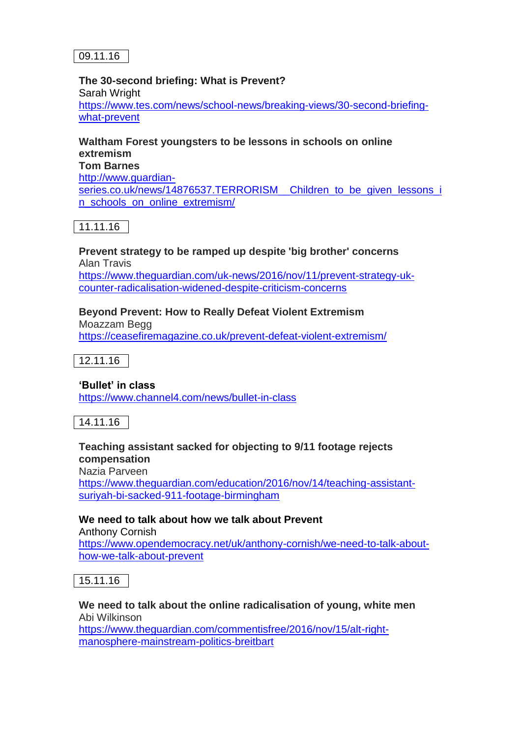#### **The 30-second briefing: What is Prevent?** Sarah Wright [https://www.tes.com/news/school-news/breaking-views/30-second-briefing](https://www.tes.com/news/school-news/breaking-views/30-second-briefing-what-prevent)[what-prevent](https://www.tes.com/news/school-news/breaking-views/30-second-briefing-what-prevent)

### **Waltham Forest youngsters to be lessons in schools on online extremism Tom Barnes** [http://www.guardian](http://www.guardian-series.co.uk/news/14876537.TERRORISM__Children_to_be_given_lessons_in_schools_on_online_extremism/)series.co.uk/news/14876537.TERRORISM\_ Children to be given lessons i [n\\_schools\\_on\\_online\\_extremism/](http://www.guardian-series.co.uk/news/14876537.TERRORISM__Children_to_be_given_lessons_in_schools_on_online_extremism/)

11.11.16

**Prevent strategy to be ramped up despite 'big brother' concerns** Alan Travis [https://www.theguardian.com/uk-news/2016/nov/11/prevent-strategy-uk](https://www.theguardian.com/uk-news/2016/nov/11/prevent-strategy-uk-counter-radicalisation-widened-despite-criticism-concerns)[counter-radicalisation-widened-despite-criticism-concerns](https://www.theguardian.com/uk-news/2016/nov/11/prevent-strategy-uk-counter-radicalisation-widened-despite-criticism-concerns)

# **Beyond Prevent: How to Really Defeat Violent Extremism**

Moazzam Begg <https://ceasefiremagazine.co.uk/prevent-defeat-violent-extremism/>

12.11.16

**'Bullet' in class** <https://www.channel4.com/news/bullet-in-class>

14.11.16

#### **Teaching assistant sacked for objecting to 9/11 footage rejects compensation**

Nazia Parveen

[https://www.theguardian.com/education/2016/nov/14/teaching-assistant](https://www.theguardian.com/education/2016/nov/14/teaching-assistant-suriyah-bi-sacked-911-footage-birmingham)[suriyah-bi-sacked-911-footage-birmingham](https://www.theguardian.com/education/2016/nov/14/teaching-assistant-suriyah-bi-sacked-911-footage-birmingham)

**We need to talk about how we talk about Prevent** Anthony Cornish

[https://www.opendemocracy.net/uk/anthony-cornish/we-need-to-talk-about](https://www.opendemocracy.net/uk/anthony-cornish/we-need-to-talk-about-how-we-talk-about-prevent)[how-we-talk-about-prevent](https://www.opendemocracy.net/uk/anthony-cornish/we-need-to-talk-about-how-we-talk-about-prevent)

15.11.16

**We need to talk about the online radicalisation of young, white men** Abi Wilkinson [https://www.theguardian.com/commentisfree/2016/nov/15/alt-right](https://www.theguardian.com/commentisfree/2016/nov/15/alt-right-manosphere-mainstream-politics-breitbart)[manosphere-mainstream-politics-breitbart](https://www.theguardian.com/commentisfree/2016/nov/15/alt-right-manosphere-mainstream-politics-breitbart)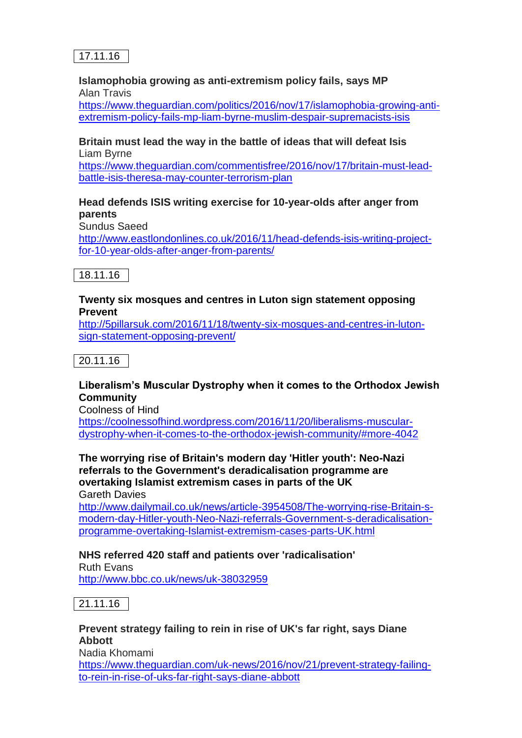#### **Islamophobia growing as anti-extremism policy fails, says MP** Alan Travis

[https://www.theguardian.com/politics/2016/nov/17/islamophobia-growing-anti](https://www.theguardian.com/politics/2016/nov/17/islamophobia-growing-anti-extremism-policy-fails-mp-liam-byrne-muslim-despair-supremacists-isis)[extremism-policy-fails-mp-liam-byrne-muslim-despair-supremacists-isis](https://www.theguardian.com/politics/2016/nov/17/islamophobia-growing-anti-extremism-policy-fails-mp-liam-byrne-muslim-despair-supremacists-isis)

#### **Britain must lead the way in the battle of ideas that will defeat Isis** Liam Byrne

[https://www.theguardian.com/commentisfree/2016/nov/17/britain-must-lead](https://www.theguardian.com/commentisfree/2016/nov/17/britain-must-lead-battle-isis-theresa-may-counter-terrorism-plan)[battle-isis-theresa-may-counter-terrorism-plan](https://www.theguardian.com/commentisfree/2016/nov/17/britain-must-lead-battle-isis-theresa-may-counter-terrorism-plan)

### **Head defends ISIS writing exercise for 10-year-olds after anger from parents**

Sundus Saeed

[http://www.eastlondonlines.co.uk/2016/11/head-defends-isis-writing-project](http://www.eastlondonlines.co.uk/2016/11/head-defends-isis-writing-project-for-10-year-olds-after-anger-from-parents/)[for-10-year-olds-after-anger-from-parents/](http://www.eastlondonlines.co.uk/2016/11/head-defends-isis-writing-project-for-10-year-olds-after-anger-from-parents/)



### **Twenty six mosques and centres in Luton sign statement opposing Prevent**

[http://5pillarsuk.com/2016/11/18/twenty-six-mosques-and-centres-in-luton](http://5pillarsuk.com/2016/11/18/twenty-six-mosques-and-centres-in-luton-sign-statement-opposing-prevent/)[sign-statement-opposing-prevent/](http://5pillarsuk.com/2016/11/18/twenty-six-mosques-and-centres-in-luton-sign-statement-opposing-prevent/)

20.11.16

# **Liberalism's Muscular Dystrophy when it comes to the Orthodox Jewish Community**

Coolness of Hind

[https://coolnessofhind.wordpress.com/2016/11/20/liberalisms-muscular](https://coolnessofhind.wordpress.com/2016/11/20/liberalisms-muscular-dystrophy-when-it-comes-to-the-orthodox-jewish-community/#more-4042)[dystrophy-when-it-comes-to-the-orthodox-jewish-community/#more-4042](https://coolnessofhind.wordpress.com/2016/11/20/liberalisms-muscular-dystrophy-when-it-comes-to-the-orthodox-jewish-community/#more-4042)

#### **The worrying rise of Britain's modern day 'Hitler youth': Neo-Nazi referrals to the Government's deradicalisation programme are overtaking Islamist extremism cases in parts of the UK** Gareth Davies

[http://www.dailymail.co.uk/news/article-3954508/The-worrying-rise-Britain-s](http://www.dailymail.co.uk/news/article-3954508/The-worrying-rise-Britain-s-modern-day-Hitler-youth-Neo-Nazi-referrals-Government-s-deradicalisation-programme-overtaking-Islamist-extremism-cases-parts-UK.html)[modern-day-Hitler-youth-Neo-Nazi-referrals-Government-s-deradicalisation](http://www.dailymail.co.uk/news/article-3954508/The-worrying-rise-Britain-s-modern-day-Hitler-youth-Neo-Nazi-referrals-Government-s-deradicalisation-programme-overtaking-Islamist-extremism-cases-parts-UK.html)[programme-overtaking-Islamist-extremism-cases-parts-UK.html](http://www.dailymail.co.uk/news/article-3954508/The-worrying-rise-Britain-s-modern-day-Hitler-youth-Neo-Nazi-referrals-Government-s-deradicalisation-programme-overtaking-Islamist-extremism-cases-parts-UK.html)

# **NHS referred 420 staff and patients over 'radicalisation'**

Ruth Evans <http://www.bbc.co.uk/news/uk-38032959>

 $|21.11.16|$ 

### **Prevent strategy failing to rein in rise of UK's far right, says Diane Abbott** Nadia Khomami [https://www.theguardian.com/uk-news/2016/nov/21/prevent-strategy-failing](https://www.theguardian.com/uk-news/2016/nov/21/prevent-strategy-failing-to-rein-in-rise-of-uks-far-right-says-diane-abbott)[to-rein-in-rise-of-uks-far-right-says-diane-abbott](https://www.theguardian.com/uk-news/2016/nov/21/prevent-strategy-failing-to-rein-in-rise-of-uks-far-right-says-diane-abbott)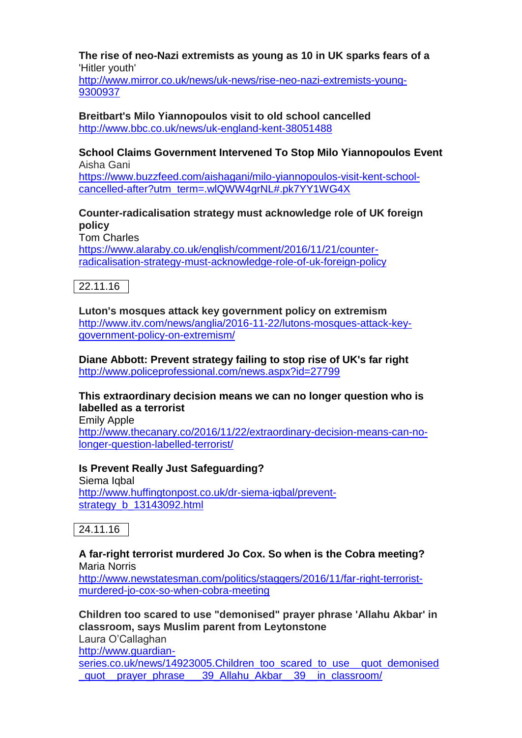**The rise of neo-Nazi extremists as young as 10 in UK sparks fears of a**  'Hitler youth'

[http://www.mirror.co.uk/news/uk-news/rise-neo-nazi-extremists-young-](http://www.mirror.co.uk/news/uk-news/rise-neo-nazi-extremists-young-9300937)[9300937](http://www.mirror.co.uk/news/uk-news/rise-neo-nazi-extremists-young-9300937)

**Breitbart's Milo Yiannopoulos visit to old school cancelled** <http://www.bbc.co.uk/news/uk-england-kent-38051488>

**School Claims Government Intervened To Stop Milo Yiannopoulos Event** Aisha Gani

[https://www.buzzfeed.com/aishagani/milo-yiannopoulos-visit-kent-school](https://www.buzzfeed.com/aishagani/milo-yiannopoulos-visit-kent-school-cancelled-after?utm_term=.wlQWW4grNL#.pk7YY1WG4X)[cancelled-after?utm\\_term=.wlQWW4grNL#.pk7YY1WG4X](https://www.buzzfeed.com/aishagani/milo-yiannopoulos-visit-kent-school-cancelled-after?utm_term=.wlQWW4grNL#.pk7YY1WG4X)

# **Counter-radicalisation strategy must acknowledge role of UK foreign policy**

Tom Charles [https://www.alaraby.co.uk/english/comment/2016/11/21/counter](https://www.alaraby.co.uk/english/comment/2016/11/21/counter-radicalisation-strategy-must-acknowledge-role-of-uk-foreign-policy)[radicalisation-strategy-must-acknowledge-role-of-uk-foreign-policy](https://www.alaraby.co.uk/english/comment/2016/11/21/counter-radicalisation-strategy-must-acknowledge-role-of-uk-foreign-policy)



**Luton's mosques attack key government policy on extremism** [http://www.itv.com/news/anglia/2016-11-22/lutons-mosques-attack-key](http://www.itv.com/news/anglia/2016-11-22/lutons-mosques-attack-key-government-policy-on-extremism/)[government-policy-on-extremism/](http://www.itv.com/news/anglia/2016-11-22/lutons-mosques-attack-key-government-policy-on-extremism/)

**Diane Abbott: Prevent strategy failing to stop rise of UK's far right** <http://www.policeprofessional.com/news.aspx?id=27799>

### **This extraordinary decision means we can no longer question who is labelled as a terrorist**

Emily Apple [http://www.thecanary.co/2016/11/22/extraordinary-decision-means-can-no](http://www.thecanary.co/2016/11/22/extraordinary-decision-means-can-no-longer-question-labelled-terrorist/)[longer-question-labelled-terrorist/](http://www.thecanary.co/2016/11/22/extraordinary-decision-means-can-no-longer-question-labelled-terrorist/)

**Is Prevent Really Just Safeguarding?** Siema lobal [http://www.huffingtonpost.co.uk/dr-siema-iqbal/prevent-](http://www.huffingtonpost.co.uk/dr-siema-iqbal/prevent-strategy_b_13143092.html)

24.11.16

[strategy\\_b\\_13143092.html](http://www.huffingtonpost.co.uk/dr-siema-iqbal/prevent-strategy_b_13143092.html)

### **A far-right terrorist murdered Jo Cox. So when is the Cobra meeting?** Maria Norris

[http://www.newstatesman.com/politics/staggers/2016/11/far-right-terrorist](http://www.newstatesman.com/politics/staggers/2016/11/far-right-terrorist-murdered-jo-cox-so-when-cobra-meeting)[murdered-jo-cox-so-when-cobra-meeting](http://www.newstatesman.com/politics/staggers/2016/11/far-right-terrorist-murdered-jo-cox-so-when-cobra-meeting)

**Children too scared to use "demonised" prayer phrase 'Allahu Akbar' in classroom, says Muslim parent from Leytonstone** Laura O'Callaghan [http://www.guardian](http://www.guardian-series.co.uk/news/14923005.Children_too_scared_to_use__quot_demonised_quot__prayer_phrase___39_Allahu_Akbar__39__in_classroom/)[series.co.uk/news/14923005.Children\\_too\\_scared\\_to\\_use\\_\\_quot\\_demonised](http://www.guardian-series.co.uk/news/14923005.Children_too_scared_to_use__quot_demonised_quot__prayer_phrase___39_Allahu_Akbar__39__in_classroom/) [\\_quot\\_\\_prayer\\_phrase\\_\\_\\_39\\_Allahu\\_Akbar\\_\\_39\\_\\_in\\_classroom/](http://www.guardian-series.co.uk/news/14923005.Children_too_scared_to_use__quot_demonised_quot__prayer_phrase___39_Allahu_Akbar__39__in_classroom/)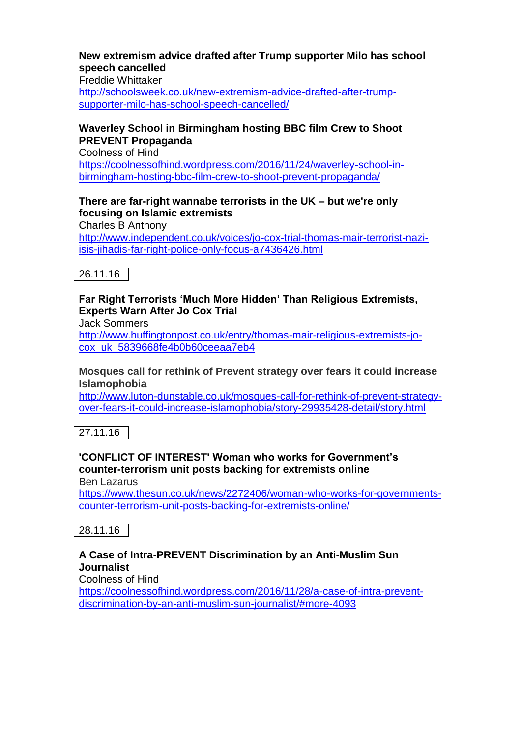### **New extremism advice drafted after Trump supporter Milo has school speech cancelled**

Freddie Whittaker

[http://schoolsweek.co.uk/new-extremism-advice-drafted-after-trump](http://schoolsweek.co.uk/new-extremism-advice-drafted-after-trump-supporter-milo-has-school-speech-cancelled/)[supporter-milo-has-school-speech-cancelled/](http://schoolsweek.co.uk/new-extremism-advice-drafted-after-trump-supporter-milo-has-school-speech-cancelled/)

# **Waverley School in Birmingham hosting BBC film Crew to Shoot PREVENT Propaganda**

Coolness of Hind

[https://coolnessofhind.wordpress.com/2016/11/24/waverley-school-in](https://coolnessofhind.wordpress.com/2016/11/24/waverley-school-in-birmingham-hosting-bbc-film-crew-to-shoot-prevent-propaganda/)[birmingham-hosting-bbc-film-crew-to-shoot-prevent-propaganda/](https://coolnessofhind.wordpress.com/2016/11/24/waverley-school-in-birmingham-hosting-bbc-film-crew-to-shoot-prevent-propaganda/)

#### **There are far-right wannabe terrorists in the UK – but we're only focusing on Islamic extremists** Charles B Anthony

[http://www.independent.co.uk/voices/jo-cox-trial-thomas-mair-terrorist-nazi](http://www.independent.co.uk/voices/jo-cox-trial-thomas-mair-terrorist-nazi-isis-jihadis-far-right-police-only-focus-a7436426.html)[isis-jihadis-far-right-police-only-focus-a7436426.html](http://www.independent.co.uk/voices/jo-cox-trial-thomas-mair-terrorist-nazi-isis-jihadis-far-right-police-only-focus-a7436426.html)



# **Far Right Terrorists 'Much More Hidden' Than Religious Extremists, Experts Warn After Jo Cox Trial**

Jack Sommers

[http://www.huffingtonpost.co.uk/entry/thomas-mair-religious-extremists-jo](http://www.huffingtonpost.co.uk/entry/thomas-mair-religious-extremists-jo-cox_uk_5839668fe4b0b60ceeaa7eb4)[cox\\_uk\\_5839668fe4b0b60ceeaa7eb4](http://www.huffingtonpost.co.uk/entry/thomas-mair-religious-extremists-jo-cox_uk_5839668fe4b0b60ceeaa7eb4)

#### **Mosques call for rethink of Prevent strategy over fears it could increase Islamophobia**

[http://www.luton-dunstable.co.uk/mosques-call-for-rethink-of-prevent-strategy](http://www.luton-dunstable.co.uk/mosques-call-for-rethink-of-prevent-strategy-over-fears-it-could-increase-islamophobia/story-29935428-detail/story.html)[over-fears-it-could-increase-islamophobia/story-29935428-detail/story.html](http://www.luton-dunstable.co.uk/mosques-call-for-rethink-of-prevent-strategy-over-fears-it-could-increase-islamophobia/story-29935428-detail/story.html)

27.11.16

# **'CONFLICT OF INTEREST' Woman who works for Government's counter-terrorism unit posts backing for extremists online**

Ben Lazarus

[https://www.thesun.co.uk/news/2272406/woman-who-works-for-governments](https://www.thesun.co.uk/news/2272406/woman-who-works-for-governments-counter-terrorism-unit-posts-backing-for-extremists-online/)[counter-terrorism-unit-posts-backing-for-extremists-online/](https://www.thesun.co.uk/news/2272406/woman-who-works-for-governments-counter-terrorism-unit-posts-backing-for-extremists-online/)

 $|28.11.16|$ 

# **A Case of Intra-PREVENT Discrimination by an Anti-Muslim Sun Journalist**

Coolness of Hind

[https://coolnessofhind.wordpress.com/2016/11/28/a-case-of-intra-prevent](https://coolnessofhind.wordpress.com/2016/11/28/a-case-of-intra-prevent-discrimination-by-an-anti-muslim-sun-journalist/#more-4093)[discrimination-by-an-anti-muslim-sun-journalist/#more-4093](https://coolnessofhind.wordpress.com/2016/11/28/a-case-of-intra-prevent-discrimination-by-an-anti-muslim-sun-journalist/#more-4093)